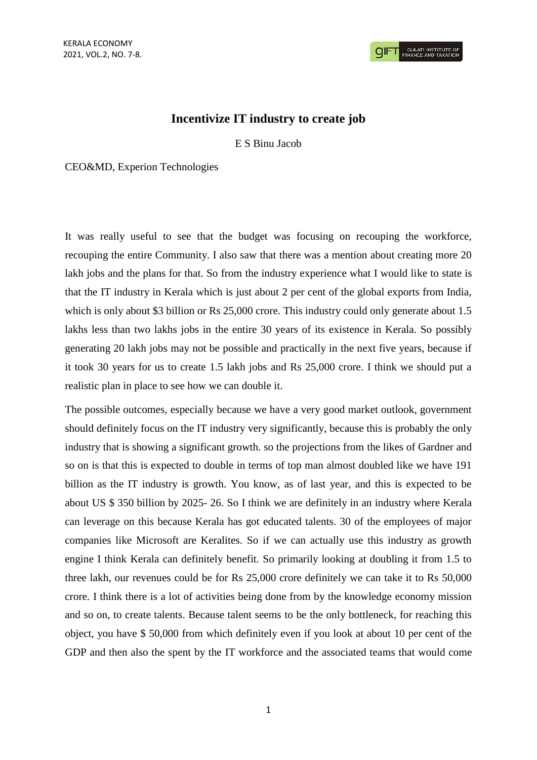## **Incentivize IT industry to create job**

E S Binu Jacob

CEO&MD, Experion Technologies

It was really useful to see that the budget was focusing on recouping the workforce, recouping the entire Community. I also saw that there was a mention about creating more 20 lakh jobs and the plans for that. So from the industry experience what I would like to state is that the IT industry in Kerala which is just about 2 per cent of the global exports from India, which is only about \$3 billion or Rs 25,000 crore. This industry could only generate about 1.5 lakhs less than two lakhs jobs in the entire 30 years of its existence in Kerala. So possibly generating 20 lakh jobs may not be possible and practically in the next five years, because if it took 30 years for us to create 1.5 lakh jobs and Rs 25,000 crore. I think we should put a realistic plan in place to see how we can double it.

The possible outcomes, especially because we have a very good market outlook, government should definitely focus on the IT industry very significantly, because this is probably the only industry that is showing a significant growth. so the projections from the likes of Gardner and so on is that this is expected to double in terms of top man almost doubled like we have 191 billion as the IT industry is growth. You know, as of last year, and this is expected to be about US \$ 350 billion by 2025- 26. So I think we are definitely in an industry where Kerala can leverage on this because Kerala has got educated talents. 30 of the employees of major companies like Microsoft are Keralites. So if we can actually use this industry as growth engine I think Kerala can definitely benefit. So primarily looking at doubling it from 1.5 to three lakh, our revenues could be for Rs 25,000 crore definitely we can take it to Rs 50,000 crore. I think there is a lot of activities being done from by the knowledge economy mission and so on, to create talents. Because talent seems to be the only bottleneck, for reaching this object, you have \$ 50,000 from which definitely even if you look at about 10 per cent of the GDP and then also the spent by the IT workforce and the associated teams that would come